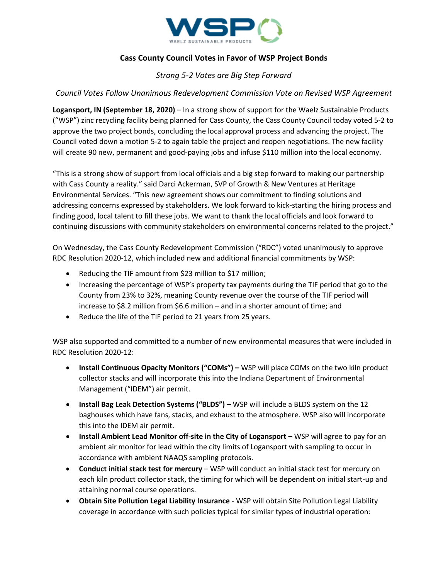

# **Cass County Council Votes in Favor of WSP Project Bonds**

## *Strong 5-2 Votes are Big Step Forward*

### *Council Votes Follow Unanimous Redevelopment Commission Vote on Revised WSP Agreement*

**Logansport, IN (September 18, 2020)** – In a strong show of support for the Waelz Sustainable Products ("WSP") zinc recycling facility being planned for Cass County, the Cass County Council today voted 5-2 to approve the two project bonds, concluding the local approval process and advancing the project. The Council voted down a motion 5-2 to again table the project and reopen negotiations. The new facility will create 90 new, permanent and good-paying jobs and infuse \$110 million into the local economy.

"This is a strong show of support from local officials and a big step forward to making our partnership with Cass County a reality." said Darci Ackerman, SVP of Growth & New Ventures at Heritage Environmental Services. "This new agreement shows our commitment to finding solutions and addressing concerns expressed by stakeholders. We look forward to kick-starting the hiring process and finding good, local talent to fill these jobs. We want to thank the local officials and look forward to continuing discussions with community stakeholders on environmental concerns related to the project."

On Wednesday, the Cass County Redevelopment Commission ("RDC") voted unanimously to approve RDC Resolution 2020-12, which included new and additional financial commitments by WSP:

- Reducing the TIF amount from \$23 million to \$17 million;
- Increasing the percentage of WSP's property tax payments during the TIF period that go to the County from 23% to 32%, meaning County revenue over the course of the TIF period will increase to \$8.2 million from \$6.6 million – and in a shorter amount of time; and
- Reduce the life of the TIF period to 21 years from 25 years.

WSP also supported and committed to a number of new environmental measures that were included in RDC Resolution 2020-12:

- **Install Continuous Opacity Monitors ("COMs") –** WSP will place COMs on the two kiln product collector stacks and will incorporate this into the Indiana Department of Environmental Management ("IDEM") air permit.
- **Install Bag Leak Detection Systems ("BLDS") –** WSP will include a BLDS system on the 12 baghouses which have fans, stacks, and exhaust to the atmosphere. WSP also will incorporate this into the IDEM air permit.
- **Install Ambient Lead Monitor off-site in the City of Logansport WSP will agree to pay for an** ambient air monitor for lead within the city limits of Logansport with sampling to occur in accordance with ambient NAAQS sampling protocols.
- **Conduct initial stack test for mercury** WSP will conduct an initial stack test for mercury on each kiln product collector stack, the timing for which will be dependent on initial start-up and attaining normal course operations.
- **Obtain Site Pollution Legal Liability Insurance** WSP will obtain Site Pollution Legal Liability coverage in accordance with such policies typical for similar types of industrial operation: